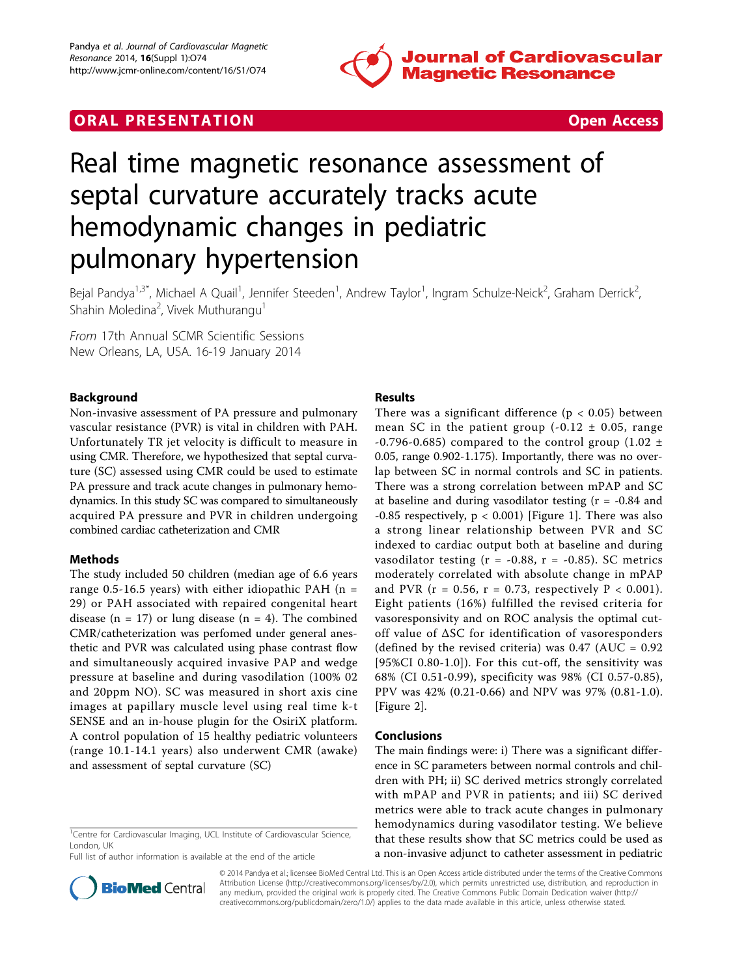

## **ORAL PRESENTATION CONSUMING ACCESS**



# Real time magnetic resonance assessment of septal curvature accurately tracks acute hemodynamic changes in pediatric pulmonary hypertension

Bejal Pandya<sup>1,3\*</sup>, Michael A Quail<sup>1</sup>, Jennifer Steeden<sup>1</sup>, Andrew Taylor<sup>1</sup>, Ingram Schulze-Neick<sup>2</sup>, Graham Derrick<sup>2</sup> .<br>, Shahin Moledina<sup>2</sup>, Vivek Muthurangu<sup>1</sup>

From 17th Annual SCMR Scientific Sessions New Orleans, LA, USA. 16-19 January 2014

### Background

Non-invasive assessment of PA pressure and pulmonary vascular resistance (PVR) is vital in children with PAH. Unfortunately TR jet velocity is difficult to measure in using CMR. Therefore, we hypothesized that septal curvature (SC) assessed using CMR could be used to estimate PA pressure and track acute changes in pulmonary hemodynamics. In this study SC was compared to simultaneously acquired PA pressure and PVR in children undergoing combined cardiac catheterization and CMR

### Methods

The study included 50 children (median age of 6.6 years range 0.5-16.5 years) with either idiopathic PAH ( $n =$ 29) or PAH associated with repaired congenital heart disease (n = 17) or lung disease (n = 4). The combined CMR/catheterization was perfomed under general anesthetic and PVR was calculated using phase contrast flow and simultaneously acquired invasive PAP and wedge pressure at baseline and during vasodilation (100% 02 and 20ppm NO). SC was measured in short axis cine images at papillary muscle level using real time k-t SENSE and an in-house plugin for the OsiriX platform. A control population of 15 healthy pediatric volunteers (range 10.1-14.1 years) also underwent CMR (awake) and assessment of septal curvature (SC)

#### <sup>1</sup>Centre for Cardiovascular Imaging, UCL Institute of Cardiovascular Science, London, UK

Full list of author information is available at the end of the article

#### Results

There was a significant difference ( $p < 0.05$ ) between mean SC in the patient group  $(-0.12 \pm 0.05, \text{ range})$ -0.796-0.685) compared to the control group (1.02  $\pm$ 0.05, range 0.902-1.175). Importantly, there was no overlap between SC in normal controls and SC in patients. There was a strong correlation between mPAP and SC at baseline and during vasodilator testing (r = -0.84 and  $-0.85$  respectively,  $p < 0.001$ ) [Figure [1\]](#page-1-0). There was also a strong linear relationship between PVR and SC indexed to cardiac output both at baseline and during vasodilator testing ( $r = -0.88$ ,  $r = -0.85$ ). SC metrics moderately correlated with absolute change in mPAP and PVR ( $r = 0.56$ ,  $r = 0.73$ , respectively  $P < 0.001$ ). Eight patients (16%) fulfilled the revised criteria for vasoresponsivity and on ROC analysis the optimal cutoff value of ΔSC for identification of vasoresponders (defined by the revised criteria) was  $0.47$  (AUC =  $0.92$ ) [95%CI 0.80-1.0]). For this cut-off, the sensitivity was 68% (CI 0.51-0.99), specificity was 98% (CI 0.57-0.85), PPV was 42% (0.21-0.66) and NPV was 97% (0.81-1.0). [Figure [2\]](#page-1-0).

#### Conclusions

The main findings were: i) There was a significant difference in SC parameters between normal controls and children with PH; ii) SC derived metrics strongly correlated with mPAP and PVR in patients; and iii) SC derived metrics were able to track acute changes in pulmonary hemodynamics during vasodilator testing. We believe that these results show that SC metrics could be used as a non-invasive adjunct to catheter assessment in pediatric



© 2014 Pandya et al.; licensee BioMed Central Ltd. This is an Open Access article distributed under the terms of the Creative Commons Attribution License [\(http://creativecommons.org/licenses/by/2.0](http://creativecommons.org/licenses/by/2.0)), which permits unrestricted use, distribution, and reproduction in any medium, provided the original work is properly cited. The Creative Commons Public Domain Dedication waiver [\(http://](http://creativecommons.org/publicdomain/zero/1.0/) [creativecommons.org/publicdomain/zero/1.0/](http://creativecommons.org/publicdomain/zero/1.0/)) applies to the data made available in this article, unless otherwise stated.